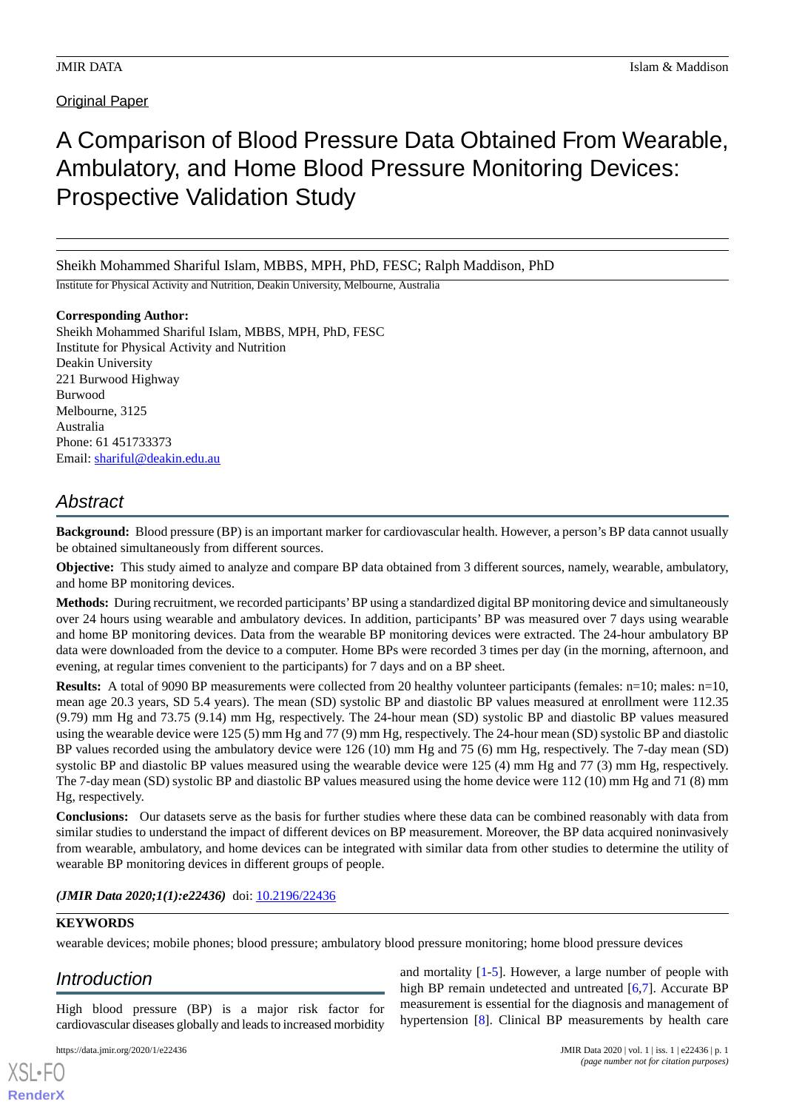Original Paper

# A Comparison of Blood Pressure Data Obtained From Wearable, Ambulatory, and Home Blood Pressure Monitoring Devices: Prospective Validation Study

Sheikh Mohammed Shariful Islam, MBBS, MPH, PhD, FESC; Ralph Maddison, PhD

Institute for Physical Activity and Nutrition, Deakin University, Melbourne, Australia

### **Corresponding Author:**

Sheikh Mohammed Shariful Islam, MBBS, MPH, PhD, FESC Institute for Physical Activity and Nutrition Deakin University 221 Burwood Highway Burwood Melbourne, 3125 Australia Phone: 61 451733373 Email: [shariful@deakin.edu.au](mailto:shariful@deakin.edu.au)

# *Abstract*

**Background:** Blood pressure (BP) is an important marker for cardiovascular health. However, a person's BP data cannot usually be obtained simultaneously from different sources.

**Objective:** This study aimed to analyze and compare BP data obtained from 3 different sources, namely, wearable, ambulatory, and home BP monitoring devices.

**Methods:** During recruitment, we recorded participants'BP using a standardized digital BP monitoring device and simultaneously over 24 hours using wearable and ambulatory devices. In addition, participants' BP was measured over 7 days using wearable and home BP monitoring devices. Data from the wearable BP monitoring devices were extracted. The 24-hour ambulatory BP data were downloaded from the device to a computer. Home BPs were recorded 3 times per day (in the morning, afternoon, and evening, at regular times convenient to the participants) for 7 days and on a BP sheet.

**Results:** A total of 9090 BP measurements were collected from 20 healthy volunteer participants (females: n=10; males: n=10, mean age 20.3 years, SD 5.4 years). The mean (SD) systolic BP and diastolic BP values measured at enrollment were 112.35 (9.79) mm Hg and 73.75 (9.14) mm Hg, respectively. The 24-hour mean (SD) systolic BP and diastolic BP values measured using the wearable device were 125 (5) mm Hg and 77 (9) mm Hg, respectively. The 24-hour mean (SD) systolic BP and diastolic BP values recorded using the ambulatory device were 126 (10) mm Hg and 75 (6) mm Hg, respectively. The 7-day mean (SD) systolic BP and diastolic BP values measured using the wearable device were 125 (4) mm Hg and 77 (3) mm Hg, respectively. The 7-day mean (SD) systolic BP and diastolic BP values measured using the home device were 112 (10) mm Hg and 71 (8) mm Hg, respectively.

**Conclusions:** Our datasets serve as the basis for further studies where these data can be combined reasonably with data from similar studies to understand the impact of different devices on BP measurement. Moreover, the BP data acquired noninvasively from wearable, ambulatory, and home devices can be integrated with similar data from other studies to determine the utility of wearable BP monitoring devices in different groups of people.

## (JMIR Data 2020;1(1):e22436) doi: [10.2196/22436](http://dx.doi.org/10.2196/22436)

## **KEYWORDS**

wearable devices; mobile phones; blood pressure; ambulatory blood pressure monitoring; home blood pressure devices

# *Introduction*

[XSL](http://www.w3.org/Style/XSL)•FO **[RenderX](http://www.renderx.com/)**

High blood pressure (BP) is a major risk factor for cardiovascular diseases globally and leads to increased morbidity

and mortality [[1-](#page-4-0)[5](#page-4-1)]. However, a large number of people with high BP remain undetected and untreated [[6](#page-4-2)[,7](#page-4-3)]. Accurate BP measurement is essential for the diagnosis and management of hypertension [\[8](#page-4-4)]. Clinical BP measurements by health care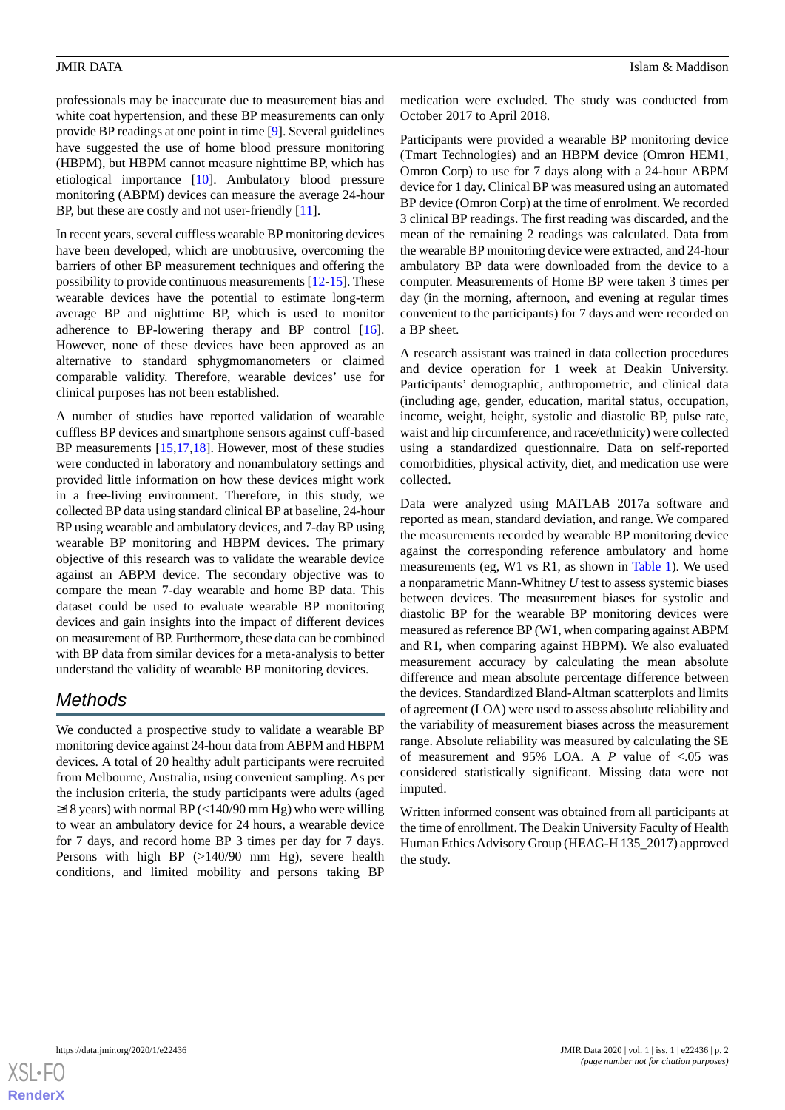professionals may be inaccurate due to measurement bias and white coat hypertension, and these BP measurements can only provide BP readings at one point in time [\[9](#page-4-5)]. Several guidelines have suggested the use of home blood pressure monitoring (HBPM), but HBPM cannot measure nighttime BP, which has etiological importance [\[10](#page-4-6)]. Ambulatory blood pressure monitoring (ABPM) devices can measure the average 24-hour BP, but these are costly and not user-friendly [\[11](#page-4-7)].

In recent years, several cuffless wearable BP monitoring devices have been developed, which are unobtrusive, overcoming the barriers of other BP measurement techniques and offering the possibility to provide continuous measurements [[12-](#page-4-8)[15\]](#page-5-0). These wearable devices have the potential to estimate long-term average BP and nighttime BP, which is used to monitor adherence to BP-lowering therapy and BP control [[16\]](#page-5-1). However, none of these devices have been approved as an alternative to standard sphygmomanometers or claimed comparable validity. Therefore, wearable devices' use for clinical purposes has not been established.

A number of studies have reported validation of wearable cuffless BP devices and smartphone sensors against cuff-based BP measurements [\[15](#page-5-0),[17](#page-5-2)[,18](#page-5-3)]. However, most of these studies were conducted in laboratory and nonambulatory settings and provided little information on how these devices might work in a free-living environment. Therefore, in this study, we collected BP data using standard clinical BP at baseline, 24-hour BP using wearable and ambulatory devices, and 7-day BP using wearable BP monitoring and HBPM devices. The primary objective of this research was to validate the wearable device against an ABPM device. The secondary objective was to compare the mean 7-day wearable and home BP data. This dataset could be used to evaluate wearable BP monitoring devices and gain insights into the impact of different devices on measurement of BP. Furthermore, these data can be combined with BP data from similar devices for a meta-analysis to better understand the validity of wearable BP monitoring devices.

# *Methods*

We conducted a prospective study to validate a wearable BP monitoring device against 24-hour data from ABPM and HBPM devices. A total of 20 healthy adult participants were recruited from Melbourne, Australia, using convenient sampling. As per the inclusion criteria, the study participants were adults (aged  $\geq$ 18 years) with normal BP (<140/90 mm Hg) who were willing to wear an ambulatory device for 24 hours, a wearable device for 7 days, and record home BP 3 times per day for 7 days. Persons with high BP (>140/90 mm Hg), severe health conditions, and limited mobility and persons taking BP

medication were excluded. The study was conducted from October 2017 to April 2018.

Participants were provided a wearable BP monitoring device (Tmart Technologies) and an HBPM device (Omron HEM1, Omron Corp) to use for 7 days along with a 24-hour ABPM device for 1 day. Clinical BP was measured using an automated BP device (Omron Corp) at the time of enrolment. We recorded 3 clinical BP readings. The first reading was discarded, and the mean of the remaining 2 readings was calculated. Data from the wearable BP monitoring device were extracted, and 24-hour ambulatory BP data were downloaded from the device to a computer. Measurements of Home BP were taken 3 times per day (in the morning, afternoon, and evening at regular times convenient to the participants) for 7 days and were recorded on a BP sheet.

A research assistant was trained in data collection procedures and device operation for 1 week at Deakin University. Participants' demographic, anthropometric, and clinical data (including age, gender, education, marital status, occupation, income, weight, height, systolic and diastolic BP, pulse rate, waist and hip circumference, and race/ethnicity) were collected using a standardized questionnaire. Data on self-reported comorbidities, physical activity, diet, and medication use were collected.

Data were analyzed using MATLAB 2017a software and reported as mean, standard deviation, and range. We compared the measurements recorded by wearable BP monitoring device against the corresponding reference ambulatory and home measurements (eg, W1 vs R1, as shown in [Table 1\)](#page-2-0). We used a nonparametric Mann-Whitney *U* test to assess systemic biases between devices. The measurement biases for systolic and diastolic BP for the wearable BP monitoring devices were measured as reference BP (W1, when comparing against ABPM and R1, when comparing against HBPM). We also evaluated measurement accuracy by calculating the mean absolute difference and mean absolute percentage difference between the devices. Standardized Bland-Altman scatterplots and limits of agreement (LOA) were used to assess absolute reliability and the variability of measurement biases across the measurement range. Absolute reliability was measured by calculating the SE of measurement and 95% LOA. A *P* value of <.05 was considered statistically significant. Missing data were not imputed.

Written informed consent was obtained from all participants at the time of enrollment. The Deakin University Faculty of Health Human Ethics Advisory Group (HEAG-H 135\_2017) approved the study.

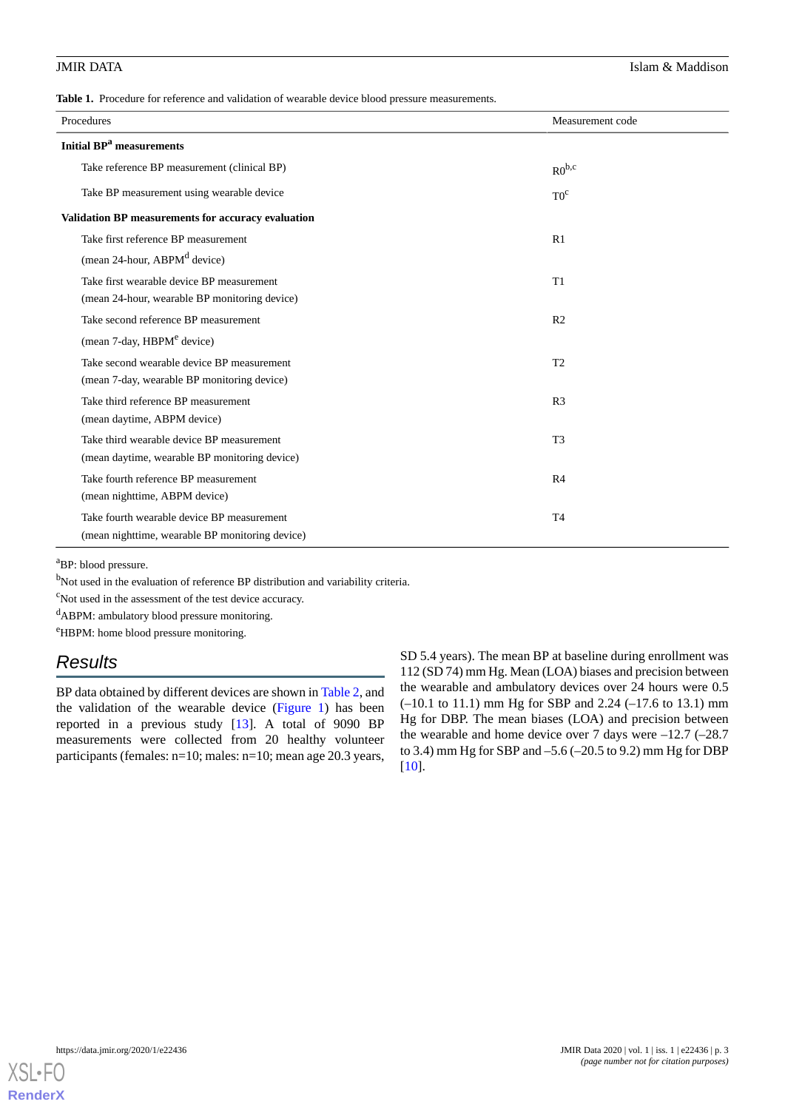<span id="page-2-0"></span>**Table 1.** Procedure for reference and validation of wearable device blood pressure measurements.

| Procedures                                         | Measurement code |  |  |  |  |
|----------------------------------------------------|------------------|--|--|--|--|
| <b>Initial BP<sup>a</sup></b> measurements         |                  |  |  |  |  |
| Take reference BP measurement (clinical BP)        | $R0^{b,c}$       |  |  |  |  |
| Take BP measurement using wearable device          | $T0^c$           |  |  |  |  |
| Validation BP measurements for accuracy evaluation |                  |  |  |  |  |
| Take first reference BP measurement                | R1               |  |  |  |  |
| (mean 24-hour, ABPM <sup>d</sup> device)           |                  |  |  |  |  |
| Take first wearable device BP measurement          | T1               |  |  |  |  |
| (mean 24-hour, wearable BP monitoring device)      |                  |  |  |  |  |
| Take second reference BP measurement               | R <sub>2</sub>   |  |  |  |  |
| (mean 7-day, HBPM <sup>e</sup> device)             |                  |  |  |  |  |
| Take second wearable device BP measurement         | T <sub>2</sub>   |  |  |  |  |
| (mean 7-day, wearable BP monitoring device)        |                  |  |  |  |  |
| Take third reference BP measurement                | R <sub>3</sub>   |  |  |  |  |
| (mean daytime, ABPM device)                        |                  |  |  |  |  |
| Take third wearable device BP measurement          | T <sub>3</sub>   |  |  |  |  |
| (mean daytime, wearable BP monitoring device)      |                  |  |  |  |  |
| Take fourth reference BP measurement               | R <sub>4</sub>   |  |  |  |  |
| (mean nighttime, ABPM device)                      |                  |  |  |  |  |
| Take fourth wearable device BP measurement         | T <sub>4</sub>   |  |  |  |  |
| (mean nighttime, wearable BP monitoring device)    |                  |  |  |  |  |

<sup>a</sup>BP: blood pressure.

 $b$ Not used in the evaluation of reference BP distribution and variability criteria.

<sup>c</sup>Not used in the assessment of the test device accuracy.

<sup>d</sup>ABPM: ambulatory blood pressure monitoring.

<sup>e</sup>HBPM: home blood pressure monitoring.

# *Results*

BP data obtained by different devices are shown in [Table 2,](#page-3-0) and the validation of the wearable device [\(Figure 1](#page-3-1)) has been reported in a previous study [[13\]](#page-4-9). A total of 9090 BP measurements were collected from 20 healthy volunteer participants (females: n=10; males: n=10; mean age 20.3 years, SD 5.4 years). The mean BP at baseline during enrollment was 112 (SD 74) mm Hg. Mean (LOA) biases and precision between the wearable and ambulatory devices over 24 hours were 0.5 (–10.1 to 11.1) mm Hg for SBP and 2.24 (–17.6 to 13.1) mm Hg for DBP. The mean biases (LOA) and precision between the wearable and home device over 7 days were  $-12.7$  ( $-28.7$ ) to 3.4) mm Hg for SBP and –5.6 (–20.5 to 9.2) mm Hg for DBP [[10\]](#page-4-6).

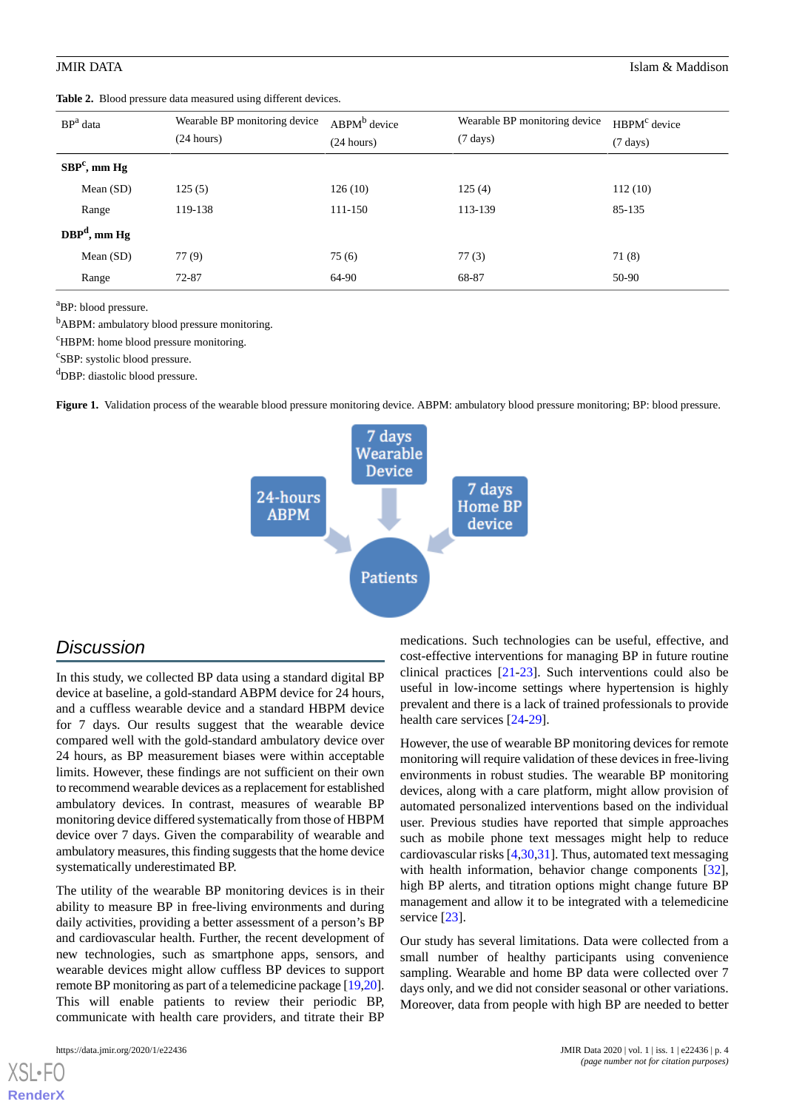<span id="page-3-0"></span>

|                | BP <sup>a</sup> data | Wearable BP monitoring device<br>(24 hours) | $ABPM^b$ device<br>(24 hours) | Wearable BP monitoring device<br>$(7 \text{ days})$ | HBPM <sup>c</sup> device<br>$(7 \text{ days})$ |
|----------------|----------------------|---------------------------------------------|-------------------------------|-----------------------------------------------------|------------------------------------------------|
| $SBPc$ , mm Hg |                      |                                             |                               |                                                     |                                                |
|                | Mean $(SD)$          | 125(5)                                      | 126(10)                       | 125(4)                                              | 112(10)                                        |
|                | Range                | 119-138                                     | 111-150                       | 113-139                                             | 85-135                                         |
| $DBPd$ , mm Hg |                      |                                             |                               |                                                     |                                                |
|                | Mean $(SD)$          | 77(9)                                       | 75(6)                         | 77(3)                                               | 71(8)                                          |
|                | Range                | 72-87                                       | 64-90                         | 68-87                                               | 50-90                                          |

<sup>a</sup>BP: blood pressure.

<sup>b</sup>ABPM: ambulatory blood pressure monitoring.

<sup>c</sup>HBPM: home blood pressure monitoring.

<span id="page-3-1"></span><sup>c</sup>SBP: systolic blood pressure.

<sup>d</sup>DBP: diastolic blood pressure.

**Figure 1.** Validation process of the wearable blood pressure monitoring device. ABPM: ambulatory blood pressure monitoring; BP: blood pressure.



# *Discussion*

In this study, we collected BP data using a standard digital BP device at baseline, a gold-standard ABPM device for 24 hours, and a cuffless wearable device and a standard HBPM device for 7 days. Our results suggest that the wearable device compared well with the gold-standard ambulatory device over 24 hours, as BP measurement biases were within acceptable limits. However, these findings are not sufficient on their own to recommend wearable devices as a replacement for established ambulatory devices. In contrast, measures of wearable BP monitoring device differed systematically from those of HBPM device over 7 days. Given the comparability of wearable and ambulatory measures, this finding suggests that the home device systematically underestimated BP.

The utility of the wearable BP monitoring devices is in their ability to measure BP in free-living environments and during daily activities, providing a better assessment of a person's BP and cardiovascular health. Further, the recent development of new technologies, such as smartphone apps, sensors, and wearable devices might allow cuffless BP devices to support remote BP monitoring as part of a telemedicine package [[19,](#page-5-4)[20\]](#page-5-5). This will enable patients to review their periodic BP, communicate with health care providers, and titrate their BP

[XSL](http://www.w3.org/Style/XSL)•FO **[RenderX](http://www.renderx.com/)**

medications. Such technologies can be useful, effective, and cost-effective interventions for managing BP in future routine clinical practices [\[21](#page-5-6)[-23](#page-5-7)]. Such interventions could also be useful in low-income settings where hypertension is highly prevalent and there is a lack of trained professionals to provide health care services [[24-](#page-5-8)[29](#page-5-9)].

However, the use of wearable BP monitoring devices for remote monitoring will require validation of these devices in free-living environments in robust studies. The wearable BP monitoring devices, along with a care platform, might allow provision of automated personalized interventions based on the individual user. Previous studies have reported that simple approaches such as mobile phone text messages might help to reduce cardiovascular risks [[4,](#page-4-10)[30](#page-5-10),[31\]](#page-5-11). Thus, automated text messaging with health information, behavior change components [[32\]](#page-5-12), high BP alerts, and titration options might change future BP management and allow it to be integrated with a telemedicine service [[23\]](#page-5-7).

Our study has several limitations. Data were collected from a small number of healthy participants using convenience sampling. Wearable and home BP data were collected over 7 days only, and we did not consider seasonal or other variations. Moreover, data from people with high BP are needed to better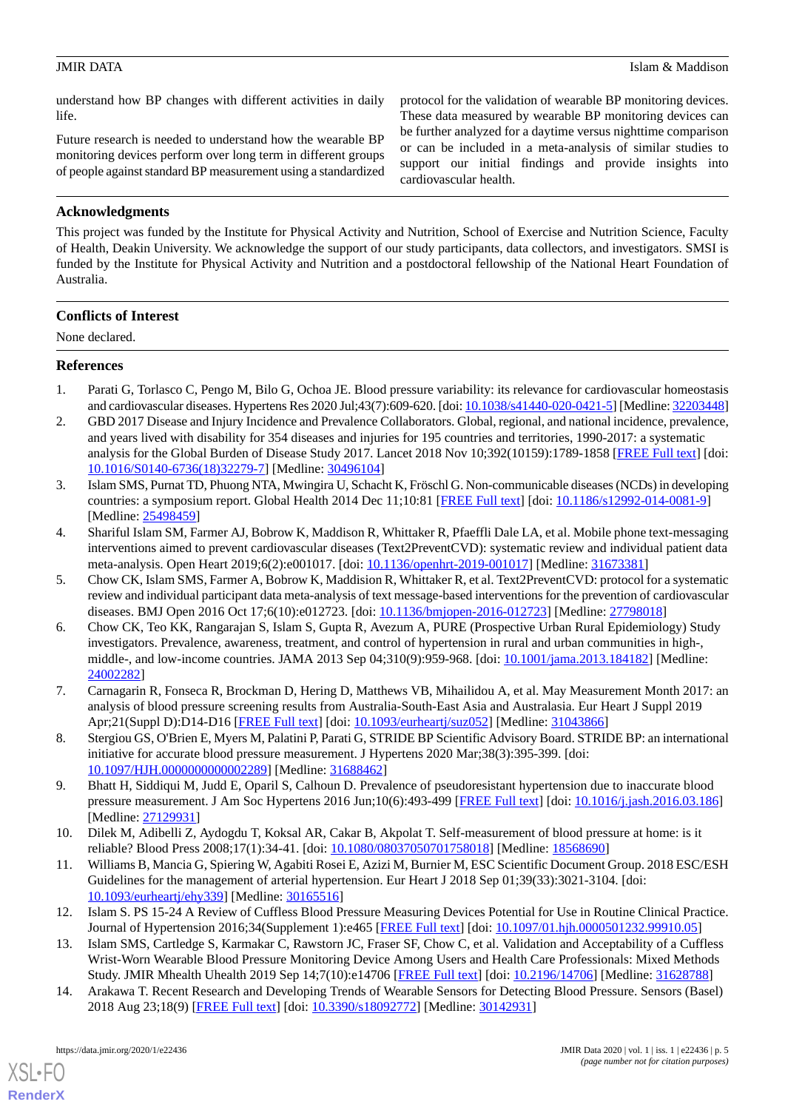understand how BP changes with different activities in daily life.

Future research is needed to understand how the wearable BP monitoring devices perform over long term in different groups of people against standard BP measurement using a standardized protocol for the validation of wearable BP monitoring devices. These data measured by wearable BP monitoring devices can be further analyzed for a daytime versus nighttime comparison or can be included in a meta-analysis of similar studies to support our initial findings and provide insights into cardiovascular health.

# **Acknowledgments**

This project was funded by the Institute for Physical Activity and Nutrition, School of Exercise and Nutrition Science, Faculty of Health, Deakin University. We acknowledge the support of our study participants, data collectors, and investigators. SMSI is funded by the Institute for Physical Activity and Nutrition and a postdoctoral fellowship of the National Heart Foundation of Australia.

## **Conflicts of Interest**

None declared.

### <span id="page-4-0"></span>**References**

- 1. Parati G, Torlasco C, Pengo M, Bilo G, Ochoa JE. Blood pressure variability: its relevance for cardiovascular homeostasis and cardiovascular diseases. Hypertens Res 2020 Jul;43(7):609-620. [doi: [10.1038/s41440-020-0421-5\]](http://dx.doi.org/10.1038/s41440-020-0421-5) [Medline: [32203448\]](http://www.ncbi.nlm.nih.gov/entrez/query.fcgi?cmd=Retrieve&db=PubMed&list_uids=32203448&dopt=Abstract)
- 2. GBD 2017 Disease and Injury Incidence and Prevalence Collaborators. Global, regional, and national incidence, prevalence, and years lived with disability for 354 diseases and injuries for 195 countries and territories, 1990-2017: a systematic analysis for the Global Burden of Disease Study 2017. Lancet 2018 Nov 10;392(10159):1789-1858 [\[FREE Full text](https://linkinghub.elsevier.com/retrieve/pii/S0140-6736(18)32279-7)] [doi: [10.1016/S0140-6736\(18\)32279-7\]](http://dx.doi.org/10.1016/S0140-6736(18)32279-7) [Medline: [30496104](http://www.ncbi.nlm.nih.gov/entrez/query.fcgi?cmd=Retrieve&db=PubMed&list_uids=30496104&dopt=Abstract)]
- <span id="page-4-10"></span>3. Islam SMS, Purnat TD, Phuong NTA, Mwingira U, Schacht K, Fröschl G. Non-communicable diseases (NCDs) in developing countries: a symposium report. Global Health 2014 Dec 11;10:81 [\[FREE Full text\]](https://globalizationandhealth.biomedcentral.com/articles/10.1186/s12992-014-0081-9) [doi: [10.1186/s12992-014-0081-9](http://dx.doi.org/10.1186/s12992-014-0081-9)] [Medline: [25498459](http://www.ncbi.nlm.nih.gov/entrez/query.fcgi?cmd=Retrieve&db=PubMed&list_uids=25498459&dopt=Abstract)]
- <span id="page-4-1"></span>4. Shariful Islam SM, Farmer AJ, Bobrow K, Maddison R, Whittaker R, Pfaeffli Dale LA, et al. Mobile phone text-messaging interventions aimed to prevent cardiovascular diseases (Text2PreventCVD): systematic review and individual patient data meta-analysis. Open Heart 2019;6(2):e001017. [doi: [10.1136/openhrt-2019-001017\]](http://dx.doi.org/10.1136/openhrt-2019-001017) [Medline: [31673381\]](http://www.ncbi.nlm.nih.gov/entrez/query.fcgi?cmd=Retrieve&db=PubMed&list_uids=31673381&dopt=Abstract)
- <span id="page-4-2"></span>5. Chow CK, Islam SMS, Farmer A, Bobrow K, Maddision R, Whittaker R, et al. Text2PreventCVD: protocol for a systematic review and individual participant data meta-analysis of text message-based interventions for the prevention of cardiovascular diseases. BMJ Open 2016 Oct 17;6(10):e012723. [doi: [10.1136/bmjopen-2016-012723\]](http://dx.doi.org/10.1136/bmjopen-2016-012723) [Medline: [27798018\]](http://www.ncbi.nlm.nih.gov/entrez/query.fcgi?cmd=Retrieve&db=PubMed&list_uids=27798018&dopt=Abstract)
- <span id="page-4-3"></span>6. Chow CK, Teo KK, Rangarajan S, Islam S, Gupta R, Avezum A, PURE (Prospective Urban Rural Epidemiology) Study investigators. Prevalence, awareness, treatment, and control of hypertension in rural and urban communities in high-, middle-, and low-income countries. JAMA 2013 Sep 04;310(9):959-968. [doi: [10.1001/jama.2013.184182](http://dx.doi.org/10.1001/jama.2013.184182)] [Medline: [24002282](http://www.ncbi.nlm.nih.gov/entrez/query.fcgi?cmd=Retrieve&db=PubMed&list_uids=24002282&dopt=Abstract)]
- <span id="page-4-5"></span><span id="page-4-4"></span>7. Carnagarin R, Fonseca R, Brockman D, Hering D, Matthews VB, Mihailidou A, et al. May Measurement Month 2017: an analysis of blood pressure screening results from Australia-South-East Asia and Australasia. Eur Heart J Suppl 2019 Apr;21(Suppl D):D14-D16 [[FREE Full text](http://europepmc.org/abstract/MED/31043866)] [doi: [10.1093/eurheartj/suz052](http://dx.doi.org/10.1093/eurheartj/suz052)] [Medline: [31043866](http://www.ncbi.nlm.nih.gov/entrez/query.fcgi?cmd=Retrieve&db=PubMed&list_uids=31043866&dopt=Abstract)]
- <span id="page-4-6"></span>8. Stergiou GS, O'Brien E, Myers M, Palatini P, Parati G, STRIDE BP Scientific Advisory Board. STRIDE BP: an international initiative for accurate blood pressure measurement. J Hypertens 2020 Mar;38(3):395-399. [doi: [10.1097/HJH.0000000000002289\]](http://dx.doi.org/10.1097/HJH.0000000000002289) [Medline: [31688462](http://www.ncbi.nlm.nih.gov/entrez/query.fcgi?cmd=Retrieve&db=PubMed&list_uids=31688462&dopt=Abstract)]
- <span id="page-4-7"></span>9. Bhatt H, Siddiqui M, Judd E, Oparil S, Calhoun D. Prevalence of pseudoresistant hypertension due to inaccurate blood pressure measurement. J Am Soc Hypertens 2016 Jun;10(6):493-499 [\[FREE Full text\]](http://europepmc.org/abstract/MED/27129931) [doi: [10.1016/j.jash.2016.03.186](http://dx.doi.org/10.1016/j.jash.2016.03.186)] [Medline: [27129931](http://www.ncbi.nlm.nih.gov/entrez/query.fcgi?cmd=Retrieve&db=PubMed&list_uids=27129931&dopt=Abstract)]
- <span id="page-4-8"></span>10. Dilek M, Adibelli Z, Aydogdu T, Koksal AR, Cakar B, Akpolat T. Self-measurement of blood pressure at home: is it reliable? Blood Press 2008;17(1):34-41. [doi: [10.1080/08037050701758018](http://dx.doi.org/10.1080/08037050701758018)] [Medline: [18568690](http://www.ncbi.nlm.nih.gov/entrez/query.fcgi?cmd=Retrieve&db=PubMed&list_uids=18568690&dopt=Abstract)]
- <span id="page-4-9"></span>11. Williams B, Mancia G, Spiering W, Agabiti Rosei E, Azizi M, Burnier M, ESC Scientific Document Group. 2018 ESC/ESH Guidelines for the management of arterial hypertension. Eur Heart J 2018 Sep 01;39(33):3021-3104. [doi: [10.1093/eurheartj/ehy339\]](http://dx.doi.org/10.1093/eurheartj/ehy339) [Medline: [30165516](http://www.ncbi.nlm.nih.gov/entrez/query.fcgi?cmd=Retrieve&db=PubMed&list_uids=30165516&dopt=Abstract)]
- 12. Islam S. PS 15-24 A Review of Cuffless Blood Pressure Measuring Devices Potential for Use in Routine Clinical Practice. Journal of Hypertension 2016;34(Supplement 1):e465 [\[FREE Full text\]](https://journals.lww.com/jhypertension/Abstract/2016/09001/PS_15_24_A_REVIEW_OF_CUFFLESS_BLOOD_PRESSURE.1360.aspx) [doi: [10.1097/01.hjh.0000501232.99910.05](http://dx.doi.org/10.1097/01.hjh.0000501232.99910.05)]
- 13. Islam SMS, Cartledge S, Karmakar C, Rawstorn JC, Fraser SF, Chow C, et al. Validation and Acceptability of a Cuffless Wrist-Worn Wearable Blood Pressure Monitoring Device Among Users and Health Care Professionals: Mixed Methods Study. JMIR Mhealth Uhealth 2019 Sep 14;7(10):e14706 [[FREE Full text](https://mhealth.jmir.org/2019/10/e14706/)] [doi: [10.2196/14706\]](http://dx.doi.org/10.2196/14706) [Medline: [31628788\]](http://www.ncbi.nlm.nih.gov/entrez/query.fcgi?cmd=Retrieve&db=PubMed&list_uids=31628788&dopt=Abstract)
- 14. Arakawa T. Recent Research and Developing Trends of Wearable Sensors for Detecting Blood Pressure. Sensors (Basel) 2018 Aug 23;18(9) [\[FREE Full text](https://www.mdpi.com/resolver?pii=s18092772)] [doi: [10.3390/s18092772\]](http://dx.doi.org/10.3390/s18092772) [Medline: [30142931\]](http://www.ncbi.nlm.nih.gov/entrez/query.fcgi?cmd=Retrieve&db=PubMed&list_uids=30142931&dopt=Abstract)

[XSL](http://www.w3.org/Style/XSL)•FO **[RenderX](http://www.renderx.com/)**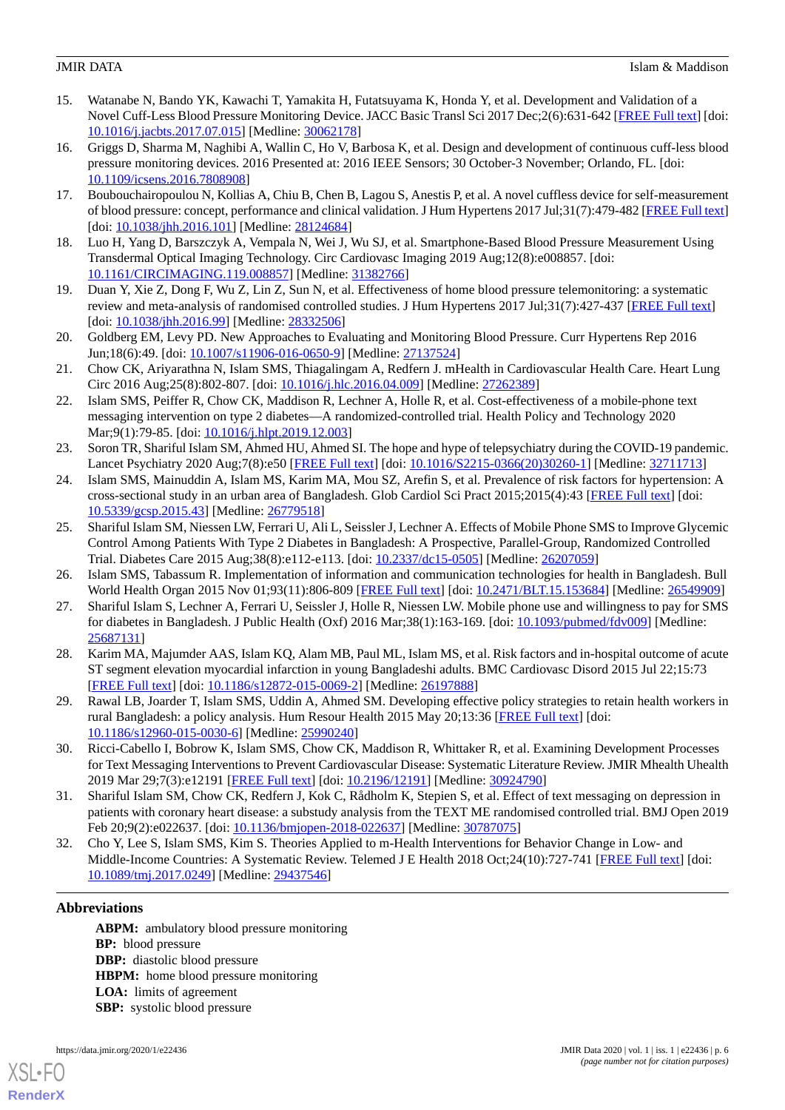- <span id="page-5-0"></span>15. Watanabe N, Bando YK, Kawachi T, Yamakita H, Futatsuyama K, Honda Y, et al. Development and Validation of a Novel Cuff-Less Blood Pressure Monitoring Device. JACC Basic Transl Sci 2017 Dec;2(6):631-642 [[FREE Full text](https://linkinghub.elsevier.com/retrieve/pii/S2452-302X(17)30220-6)] [doi: [10.1016/j.jacbts.2017.07.015\]](http://dx.doi.org/10.1016/j.jacbts.2017.07.015) [Medline: [30062178\]](http://www.ncbi.nlm.nih.gov/entrez/query.fcgi?cmd=Retrieve&db=PubMed&list_uids=30062178&dopt=Abstract)
- <span id="page-5-1"></span>16. Griggs D, Sharma M, Naghibi A, Wallin C, Ho V, Barbosa K, et al. Design and development of continuous cuff-less blood pressure monitoring devices. 2016 Presented at: 2016 IEEE Sensors; 30 October-3 November; Orlando, FL. [doi: [10.1109/icsens.2016.7808908](http://dx.doi.org/10.1109/icsens.2016.7808908)]
- <span id="page-5-3"></span><span id="page-5-2"></span>17. Boubouchairopoulou N, Kollias A, Chiu B, Chen B, Lagou S, Anestis P, et al. A novel cuffless device for self-measurement of blood pressure: concept, performance and clinical validation. J Hum Hypertens 2017 Jul;31(7):479-482 [\[FREE Full text](https://doi.org/10.1038/jhh.2016.101)] [doi: [10.1038/jhh.2016.101\]](http://dx.doi.org/10.1038/jhh.2016.101) [Medline: [28124684\]](http://www.ncbi.nlm.nih.gov/entrez/query.fcgi?cmd=Retrieve&db=PubMed&list_uids=28124684&dopt=Abstract)
- <span id="page-5-4"></span>18. Luo H, Yang D, Barszczyk A, Vempala N, Wei J, Wu SJ, et al. Smartphone-Based Blood Pressure Measurement Using Transdermal Optical Imaging Technology. Circ Cardiovasc Imaging 2019 Aug;12(8):e008857. [doi: [10.1161/CIRCIMAGING.119.008857](http://dx.doi.org/10.1161/CIRCIMAGING.119.008857)] [Medline: [31382766\]](http://www.ncbi.nlm.nih.gov/entrez/query.fcgi?cmd=Retrieve&db=PubMed&list_uids=31382766&dopt=Abstract)
- <span id="page-5-5"></span>19. Duan Y, Xie Z, Dong F, Wu Z, Lin Z, Sun N, et al. Effectiveness of home blood pressure telemonitoring: a systematic review and meta-analysis of randomised controlled studies. J Hum Hypertens 2017 Jul;31(7):427-437 [\[FREE Full text](https://doi.org/10.1038/jhh.2016.99)] [doi: [10.1038/jhh.2016.99\]](http://dx.doi.org/10.1038/jhh.2016.99) [Medline: [28332506\]](http://www.ncbi.nlm.nih.gov/entrez/query.fcgi?cmd=Retrieve&db=PubMed&list_uids=28332506&dopt=Abstract)
- <span id="page-5-6"></span>20. Goldberg EM, Levy PD. New Approaches to Evaluating and Monitoring Blood Pressure. Curr Hypertens Rep 2016 Jun;18(6):49. [doi: [10.1007/s11906-016-0650-9](http://dx.doi.org/10.1007/s11906-016-0650-9)] [Medline: [27137524\]](http://www.ncbi.nlm.nih.gov/entrez/query.fcgi?cmd=Retrieve&db=PubMed&list_uids=27137524&dopt=Abstract)
- 21. Chow CK, Ariyarathna N, Islam SMS, Thiagalingam A, Redfern J. mHealth in Cardiovascular Health Care. Heart Lung Circ 2016 Aug;25(8):802-807. [doi: [10.1016/j.hlc.2016.04.009](http://dx.doi.org/10.1016/j.hlc.2016.04.009)] [Medline: [27262389\]](http://www.ncbi.nlm.nih.gov/entrez/query.fcgi?cmd=Retrieve&db=PubMed&list_uids=27262389&dopt=Abstract)
- <span id="page-5-7"></span>22. Islam SMS, Peiffer R, Chow CK, Maddison R, Lechner A, Holle R, et al. Cost-effectiveness of a mobile-phone text messaging intervention on type 2 diabetes—A randomized-controlled trial. Health Policy and Technology 2020 Mar;9(1):79-85. [doi: [10.1016/j.hlpt.2019.12.003\]](http://dx.doi.org/10.1016/j.hlpt.2019.12.003)
- <span id="page-5-8"></span>23. Soron TR, Shariful Islam SM, Ahmed HU, Ahmed SI. The hope and hype of telepsychiatry during the COVID-19 pandemic. Lancet Psychiatry 2020 Aug;7(8):e50 [\[FREE Full text\]](http://europepmc.org/abstract/MED/32711713) [doi: [10.1016/S2215-0366\(20\)30260-1\]](http://dx.doi.org/10.1016/S2215-0366(20)30260-1) [Medline: [32711713\]](http://www.ncbi.nlm.nih.gov/entrez/query.fcgi?cmd=Retrieve&db=PubMed&list_uids=32711713&dopt=Abstract)
- 24. Islam SMS, Mainuddin A, Islam MS, Karim MA, Mou SZ, Arefin S, et al. Prevalence of risk factors for hypertension: A cross-sectional study in an urban area of Bangladesh. Glob Cardiol Sci Pract 2015;2015(4):43 [\[FREE Full text](http://europepmc.org/abstract/MED/26779518)] [doi: [10.5339/gcsp.2015.43](http://dx.doi.org/10.5339/gcsp.2015.43)] [Medline: [26779518\]](http://www.ncbi.nlm.nih.gov/entrez/query.fcgi?cmd=Retrieve&db=PubMed&list_uids=26779518&dopt=Abstract)
- 25. Shariful Islam SM, Niessen LW, Ferrari U, Ali L, Seissler J, Lechner A. Effects of Mobile Phone SMS to Improve Glycemic Control Among Patients With Type 2 Diabetes in Bangladesh: A Prospective, Parallel-Group, Randomized Controlled Trial. Diabetes Care 2015 Aug;38(8):e112-e113. [doi: [10.2337/dc15-0505](http://dx.doi.org/10.2337/dc15-0505)] [Medline: [26207059\]](http://www.ncbi.nlm.nih.gov/entrez/query.fcgi?cmd=Retrieve&db=PubMed&list_uids=26207059&dopt=Abstract)
- 26. Islam SMS, Tabassum R. Implementation of information and communication technologies for health in Bangladesh. Bull World Health Organ 2015 Nov 01;93(11):806-809 [[FREE Full text](http://europepmc.org/abstract/MED/26549909)] [doi: [10.2471/BLT.15.153684\]](http://dx.doi.org/10.2471/BLT.15.153684) [Medline: [26549909\]](http://www.ncbi.nlm.nih.gov/entrez/query.fcgi?cmd=Retrieve&db=PubMed&list_uids=26549909&dopt=Abstract)
- 27. Shariful Islam S, Lechner A, Ferrari U, Seissler J, Holle R, Niessen LW. Mobile phone use and willingness to pay for SMS for diabetes in Bangladesh. J Public Health (Oxf) 2016 Mar;38(1):163-169. [doi: [10.1093/pubmed/fdv009\]](http://dx.doi.org/10.1093/pubmed/fdv009) [Medline: [25687131](http://www.ncbi.nlm.nih.gov/entrez/query.fcgi?cmd=Retrieve&db=PubMed&list_uids=25687131&dopt=Abstract)]
- <span id="page-5-10"></span><span id="page-5-9"></span>28. Karim MA, Majumder AAS, Islam KQ, Alam MB, Paul ML, Islam MS, et al. Risk factors and in-hospital outcome of acute ST segment elevation myocardial infarction in young Bangladeshi adults. BMC Cardiovasc Disord 2015 Jul 22;15:73 [[FREE Full text](https://bmccardiovascdisord.biomedcentral.com/articles/10.1186/s12872-015-0069-2)] [doi: [10.1186/s12872-015-0069-2\]](http://dx.doi.org/10.1186/s12872-015-0069-2) [Medline: [26197888](http://www.ncbi.nlm.nih.gov/entrez/query.fcgi?cmd=Retrieve&db=PubMed&list_uids=26197888&dopt=Abstract)]
- <span id="page-5-11"></span>29. Rawal LB, Joarder T, Islam SMS, Uddin A, Ahmed SM. Developing effective policy strategies to retain health workers in rural Bangladesh: a policy analysis. Hum Resour Health 2015 May 20;13:36 [[FREE Full text\]](https://human-resources-health.biomedcentral.com/articles/10.1186/s12960-015-0030-6) [doi: [10.1186/s12960-015-0030-6\]](http://dx.doi.org/10.1186/s12960-015-0030-6) [Medline: [25990240](http://www.ncbi.nlm.nih.gov/entrez/query.fcgi?cmd=Retrieve&db=PubMed&list_uids=25990240&dopt=Abstract)]
- <span id="page-5-12"></span>30. Ricci-Cabello I, Bobrow K, Islam SMS, Chow CK, Maddison R, Whittaker R, et al. Examining Development Processes for Text Messaging Interventions to Prevent Cardiovascular Disease: Systematic Literature Review. JMIR Mhealth Uhealth 2019 Mar 29;7(3):e12191 [[FREE Full text](https://mhealth.jmir.org/2019/3/e12191/)] [doi: [10.2196/12191\]](http://dx.doi.org/10.2196/12191) [Medline: [30924790](http://www.ncbi.nlm.nih.gov/entrez/query.fcgi?cmd=Retrieve&db=PubMed&list_uids=30924790&dopt=Abstract)]
- 31. Shariful Islam SM, Chow CK, Redfern J, Kok C, Rådholm K, Stepien S, et al. Effect of text messaging on depression in patients with coronary heart disease: a substudy analysis from the TEXT ME randomised controlled trial. BMJ Open 2019 Feb 20;9(2):e022637. [doi: [10.1136/bmjopen-2018-022637](http://dx.doi.org/10.1136/bmjopen-2018-022637)] [Medline: [30787075\]](http://www.ncbi.nlm.nih.gov/entrez/query.fcgi?cmd=Retrieve&db=PubMed&list_uids=30787075&dopt=Abstract)
- 32. Cho Y, Lee S, Islam SMS, Kim S. Theories Applied to m-Health Interventions for Behavior Change in Low- and Middle-Income Countries: A Systematic Review. Telemed J E Health 2018 Oct;24(10):727-741 [\[FREE Full text\]](http://europepmc.org/abstract/MED/29437546) [doi: [10.1089/tmj.2017.0249](http://dx.doi.org/10.1089/tmj.2017.0249)] [Medline: [29437546\]](http://www.ncbi.nlm.nih.gov/entrez/query.fcgi?cmd=Retrieve&db=PubMed&list_uids=29437546&dopt=Abstract)

## **Abbreviations**

**ABPM:** ambulatory blood pressure monitoring **BP:** blood pressure **DBP:** diastolic blood pressure **HBPM:** home blood pressure monitoring **LOA:** limits of agreement **SBP:** systolic blood pressure

[XSL](http://www.w3.org/Style/XSL)•FO **[RenderX](http://www.renderx.com/)**